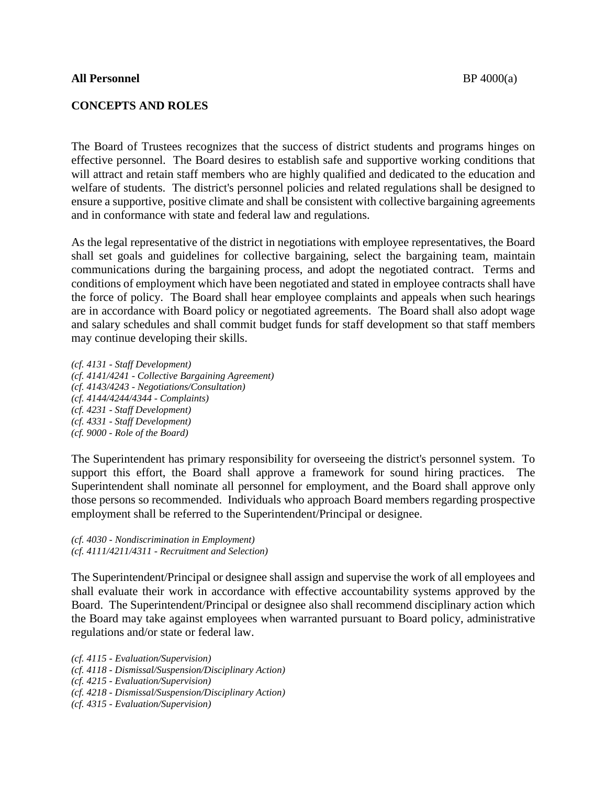## **CONCEPTS AND ROLES**

The Board of Trustees recognizes that the success of district students and programs hinges on effective personnel. The Board desires to establish safe and supportive working conditions that will attract and retain staff members who are highly qualified and dedicated to the education and welfare of students. The district's personnel policies and related regulations shall be designed to ensure a supportive, positive climate and shall be consistent with collective bargaining agreements and in conformance with state and federal law and regulations.

As the legal representative of the district in negotiations with employee representatives, the Board shall set goals and guidelines for collective bargaining, select the bargaining team, maintain communications during the bargaining process, and adopt the negotiated contract. Terms and conditions of employment which have been negotiated and stated in employee contracts shall have the force of policy. The Board shall hear employee complaints and appeals when such hearings are in accordance with Board policy or negotiated agreements. The Board shall also adopt wage and salary schedules and shall commit budget funds for staff development so that staff members may continue developing their skills.

*(cf. 4131 - Staff Development) (cf. 4141/4241 - Collective Bargaining Agreement) (cf. 4143/4243 - Negotiations/Consultation) (cf. 4144/4244/4344 - Complaints) (cf. 4231 - Staff Development) (cf. 4331 - Staff Development) (cf. 9000 - Role of the Board)*

The Superintendent has primary responsibility for overseeing the district's personnel system. To support this effort, the Board shall approve a framework for sound hiring practices. The Superintendent shall nominate all personnel for employment, and the Board shall approve only those persons so recommended. Individuals who approach Board members regarding prospective employment shall be referred to the Superintendent/Principal or designee.

*(cf. 4030 - Nondiscrimination in Employment) (cf. 4111/4211/4311 - Recruitment and Selection)*

The Superintendent/Principal or designee shall assign and supervise the work of all employees and shall evaluate their work in accordance with effective accountability systems approved by the Board. The Superintendent/Principal or designee also shall recommend disciplinary action which the Board may take against employees when warranted pursuant to Board policy, administrative regulations and/or state or federal law.

- *(cf. 4115 - Evaluation/Supervision)*
- *(cf. 4118 - Dismissal/Suspension/Disciplinary Action)*
- *(cf. 4215 - Evaluation/Supervision)*
- *(cf. 4218 - Dismissal/Suspension/Disciplinary Action)*
- *(cf. 4315 - Evaluation/Supervision)*